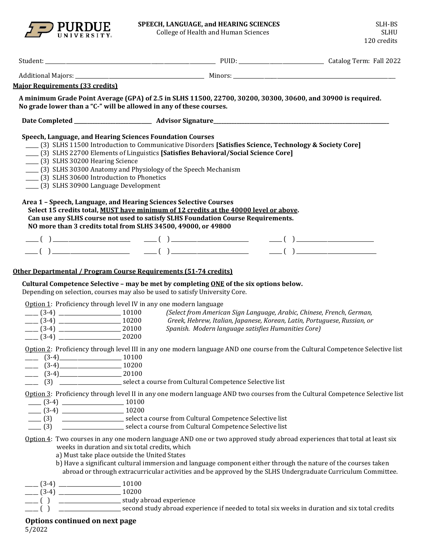

College of Health and Human Sciences

| <b>Major Requirements (33 credits)</b>                                                                                                                                                                                                                                                                                         |                                                                                                                                                                                                                                                                                                                                                             |  |
|--------------------------------------------------------------------------------------------------------------------------------------------------------------------------------------------------------------------------------------------------------------------------------------------------------------------------------|-------------------------------------------------------------------------------------------------------------------------------------------------------------------------------------------------------------------------------------------------------------------------------------------------------------------------------------------------------------|--|
| No grade lower than a "C-" will be allowed in any of these courses.                                                                                                                                                                                                                                                            | A minimum Grade Point Average (GPA) of 2.5 in SLHS 11500, 22700, 30200, 30300, 30600, and 30900 is required.                                                                                                                                                                                                                                                |  |
|                                                                                                                                                                                                                                                                                                                                |                                                                                                                                                                                                                                                                                                                                                             |  |
| Speech, Language, and Hearing Sciences Foundation Courses<br>____ (3) SLHS 30200 Hearing Science<br>(3) SLHS 30300 Anatomy and Physiology of the Speech Mechanism<br>(3) SLHS 30600 Introduction to Phonetics<br>____ (3) SLHS 30900 Language Development<br>Area 1 - Speech, Language, and Hearing Sciences Selective Courses | [3] SLHS 11500 Introduction to Communicative Disorders [Satisfies Science, Technology & Society Core]<br>[3] SLHS 22700 Elements of Linguistics [Satisfies Behavioral/Social Science Core]                                                                                                                                                                  |  |
|                                                                                                                                                                                                                                                                                                                                | Select 15 credits total, MUST have minimum of 12 credits at the 40000 level or above.<br>Can use any SLHS course not used to satisfy SLHS Foundation Course Requirements.                                                                                                                                                                                   |  |
| NO more than 3 credits total from SLHS 34500, 49000, or 49800                                                                                                                                                                                                                                                                  |                                                                                                                                                                                                                                                                                                                                                             |  |
|                                                                                                                                                                                                                                                                                                                                |                                                                                                                                                                                                                                                                                                                                                             |  |
|                                                                                                                                                                                                                                                                                                                                | $\frac{1}{\sqrt{2}}$ ( ) $\frac{1}{\sqrt{2}}$ ( ) $\frac{1}{\sqrt{2}}$ ( ) $\frac{1}{\sqrt{2}}$ ( ) $\frac{1}{\sqrt{2}}$ ( ) $\frac{1}{\sqrt{2}}$                                                                                                                                                                                                           |  |
| Depending on selection, courses may also be used to satisfy University Core.<br>Option 1: Proficiency through level IV in any one modern language<br>$(3-4)$ 20100<br>$(3-4)$ 20200                                                                                                                                            | Cultural Competence Selective - may be met by completing $\overline{ONE}$ of the six options below.<br>Greek, Hebrew, Italian, Japanese, Korean, Latin, Portuguese, Russian, or                                                                                                                                                                             |  |
| $\frac{10100}{2}$ (3-4)<br>10200<br>$(3-4)$ 20100                                                                                                                                                                                                                                                                              | Option 2: Proficiency through level III in any one modern language AND one course from the Cultural Competence Selective list<br>(3) _______________________ select a course from Cultural Competence Selective list                                                                                                                                        |  |
| $\frac{10100}{2}$ (3-4) $\frac{10100}{2}$<br>$(3-4)$ 10200                                                                                                                                                                                                                                                                     | Option 3: Proficiency through level II in any one modern language AND two courses from the Cultural Competence Selective list                                                                                                                                                                                                                               |  |
| weeks in duration and six total credits, which<br>a) Must take place outside the United States                                                                                                                                                                                                                                 | Option 4: Two courses in any one modern language AND one or two approved study abroad experiences that total at least six<br>b) Have a significant cultural immersion and language component either through the nature of the courses taken<br>abroad or through extracurricular activities and be approved by the SLHS Undergraduate Curriculum Committee. |  |
| $\equiv$ ( )                                                                                                                                                                                                                                                                                                                   | second study abroad experience if needed to total six weeks in duration and six total credits                                                                                                                                                                                                                                                               |  |

# **Options continued on next page**

5/2022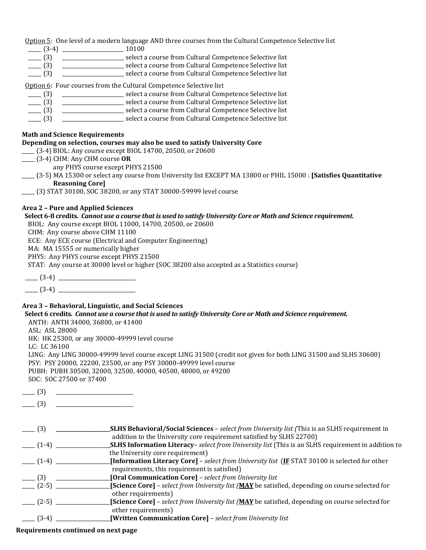Option 5: One level of a modern language AND three courses from the Cultural Competence Selective list

- \_\_\_\_\_ (3-4) \_\_\_\_\_\_\_\_\_\_\_\_\_\_\_\_\_\_\_\_\_\_\_\_ 10100
- \_\_\_\_\_ (3) \_\_\_\_\_\_\_\_\_\_\_\_\_\_\_\_\_\_\_\_\_\_\_\_ select a course from Cultural Competence Selective list
- \_\_\_\_\_ (3) \_\_\_\_\_\_\_\_\_\_\_\_\_\_\_\_\_\_\_\_\_\_\_\_ select a course from Cultural Competence Selective list
	- \_\_\_\_\_ (3) \_\_\_\_\_\_\_\_\_\_\_\_\_\_\_\_\_\_\_\_\_\_\_\_ select a course from Cultural Competence Selective list

Option 6: Four courses from the Cultural Competence Selective list

- \_\_\_\_\_ (3) \_\_\_\_\_\_\_\_\_\_\_\_\_\_\_\_\_\_\_\_\_\_\_\_ select a course from Cultural Competence Selective list
- \_\_\_\_\_ (3) \_\_\_\_\_\_\_\_\_\_\_\_\_\_\_\_\_\_\_\_\_\_\_\_ select a course from Cultural Competence Selective list
- \_\_\_\_\_ (3) \_\_\_\_\_\_\_\_\_\_\_\_\_\_\_\_\_\_\_\_\_\_\_\_ select a course from Cultural Competence Selective list
- \_\_\_\_\_ (3) \_\_\_\_\_\_\_\_\_\_\_\_\_\_\_\_\_\_\_\_\_\_\_\_ select a course from Cultural Competence Selective list

### **Math and Science Requirements**

## **Depending on selection, courses may also be used to satisfy University Core**

- \_\_\_\_\_ (3-4) BIOL: Any course except BIOL 14700, 20500, or 20600
- \_\_\_\_\_ (3-4) CHM: Any CHM course **OR**
	- any PHYS course except PHYS 21500
- \_\_\_\_\_ (3-5) MA 15300 or select any course from University list EXCEPT MA 13800 or PHIL 15000 : **[Satisfies Quantitative Reasoning Core]**
- \_\_\_\_\_ (3) STAT 30100, SOC 38200, or any STAT 30000-59999 level course

## **Area 2 – Pure and Applied Sciences**

#### **Select 6-8 credits***. Cannot use a course that is used to satisfy University Core or Math and Science requirement.*

BIOL: Any course except BIOL 11000, 14700, 20500, or 20600

CHM: Any course above CHM 11100

ECE: Any ECE course (Electrical and Computer Engineering)

MA: MA 15555 or numerically higher

PHYS: Any PHYS course except PHYS 21500

STAT: Any course at 30000 level or higher (SOC 38200 also accepted as a Statistics course)

 $\frac{1}{2}$  (3-4)  $\frac{1}{2}$  (3-4)

 $(3-4)$ 

## **Area 3 – Behavioral, Linguistic, and Social Sciences**

#### **Select 6 credits***. Cannot use a course that is used to satisfy University Core or Math and Science requirement.*

ANTH: ANTH 34000, 36800, or 41400

ASL: ASL 28000

HK: HK 25300, or any 30000-49999 level course

LC: LC 36100

LING: Any LING 30000-49999 level course except LING 31500 (credit not given for both LING 31500 and SLHS 30600) PSY: PSY 20000, 22200, 23500, or any PSY 30000-49999 level course PUBH: PUBH 30500, 32000, 32500, 40000, 40500, 48000, or 49200

SOC: SOC 27500 or 37400

 $\Box$  (3)

 $\frac{1}{2}$  (3)  $\frac{1}{2}$   $\frac{1}{2}$   $\frac{1}{2}$   $\frac{1}{2}$   $\frac{1}{2}$   $\frac{1}{2}$   $\frac{1}{2}$   $\frac{1}{2}$   $\frac{1}{2}$   $\frac{1}{2}$   $\frac{1}{2}$   $\frac{1}{2}$   $\frac{1}{2}$   $\frac{1}{2}$   $\frac{1}{2}$   $\frac{1}{2}$   $\frac{1}{2}$   $\frac{1}{2}$   $\frac{1}{2}$   $\frac{1}{2}$   $\frac{1}{2$ 

| $- (3)$                           | <b>SLHS Behavioral/Social Sciences</b> - select from University list (This is an SLHS requirement in       |
|-----------------------------------|------------------------------------------------------------------------------------------------------------|
|                                   | addition to the University core requirement satisfied by SLHS 22700)                                       |
| $\frac{1}{2}$ (1-4) $\frac{1}{2}$ | <b>_SLHS Information Literacy-</b> select from University list (This is an SLHS requirement in addition to |
|                                   | the University core requirement)                                                                           |
| $\frac{1}{2}$ (1-4) $\frac{1}{2}$ | [Information Literacy Core] - select from University list (IF STAT 30100 is selected for other             |
|                                   | requirements, this requirement is satisfied)                                                               |
| $-$ (3)                           | [Oral Communication Core] - select from University list                                                    |
| $ (2-5)$ $-$                      | [Science Core] – select from University list (MAY be satisfied, depending on course selected for           |
|                                   | other requirements)                                                                                        |
| $ (2-5)$ $-$                      | [Science Core] - select from University list (MAY be satisfied, depending on course selected for           |
|                                   | other requirements)                                                                                        |
| $-$ (3-4) $-$                     | [Written Communication Core] - select from University list                                                 |

**Requirements continued on next page**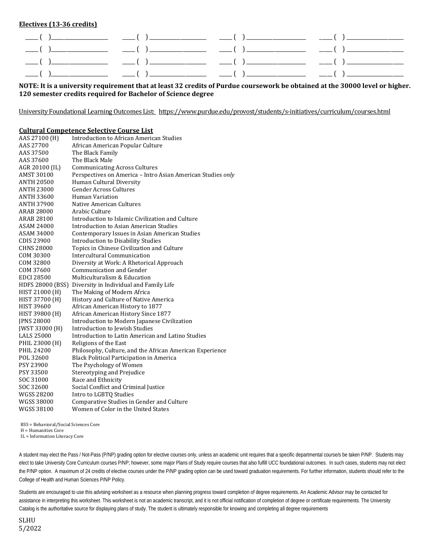**Electives (13-36 credits)**

| NOTE: It is a university requirement that at least 32 credits of Purdue coursework be obtained at the 30000 level or higher. |
|------------------------------------------------------------------------------------------------------------------------------|
| 120 semester credits required for Bachelor of Science degree                                                                 |

University Foundational Learning Outcomes List: <https://www.purdue.edu/provost/students/s-initiatives/curriculum/courses.html>

#### **Cultural Competence Selective Course List**

| AAS 27100 (H)           | <b>Introduction to African American Studies</b>             |
|-------------------------|-------------------------------------------------------------|
| AAS 27700               | African American Popular Culture                            |
| AAS 37500               | The Black Family                                            |
| AAS 37600               | The Black Male                                              |
| AGR 20100 (IL)          | <b>Communicating Across Cultures</b>                        |
| <b>AMST 30100</b>       | Perspectives on America - Intro Asian American Studies only |
| <b>ANTH 20500</b>       | Human Cultural Diversity                                    |
| <b>ANTH 23000</b>       | <b>Gender Across Cultures</b>                               |
| <b>ANTH 33600</b>       | Human Variation                                             |
| <b>ANTH 37900</b>       | Native American Cultures                                    |
| <b>ARAB 28000</b>       | Arabic Culture                                              |
| <b>ARAB 28100</b>       | Introduction to Islamic Civilization and Culture            |
| ASAM 24000              | Introduction to Asian American Studies                      |
| <b>ASAM 34000</b>       | Contemporary Issues in Asian American Studies               |
| <b>CDIS 23900</b>       | <b>Introduction to Disability Studies</b>                   |
| <b>CHNS 28000</b>       | Topics in Chinese Civilization and Culture                  |
| COM 30300               | Intercultural Communication                                 |
| COM 32800               | Diversity at Work: A Rhetorical Approach                    |
| COM 37600               | Communication and Gender                                    |
| <b>EDCI 28500</b>       | Multiculturalism & Education                                |
| <b>HDFS 28000 (BSS)</b> | Diversity in Individual and Family Life                     |
| HIST 21000 (H)          | The Making of Modern Africa                                 |
| HIST 37700 (H)          | History and Culture of Native America                       |
| <b>HIST 39600</b>       | African American History to 1877                            |
| HIST 39800 (H)          | African American History Since 1877                         |
| <b>JPNS 28000</b>       | Introduction to Modern Japanese Civilization                |
| <b>IWST 33000 (H)</b>   | Introduction to Jewish Studies                              |
| <b>LALS 25000</b>       | Introduction to Latin American and Latino Studies           |
| PHIL 23000 (H)          | Religions of the East                                       |
| PHIL 24200              | Philosophy, Culture, and the African American Experience    |
| POL 32600               | <b>Black Political Participation in America</b>             |
| PSY 23900               | The Psychology of Women                                     |
| PSY 33500               | Stereotyping and Prejudice                                  |
| SOC 31000               | Race and Ethnicity                                          |
| SOC 32600               | Social Conflict and Criminal Justice                        |
| <b>WGSS 28200</b>       | Intro to LGBTQ Studies                                      |
| <b>WGSS 38000</b>       | Comparative Studies in Gender and Culture                   |
| WGSS 38100              | Women of Color in the United States                         |
|                         |                                                             |

BSS = Behavioral/Social Sciences Core

H = Humanities Core

IL = Information Literacy Core

A student may elect the Pass / Not-Pass (P/NP) grading option for elective courses only, unless an academic unit requires that a specific departmental course/s be taken P/NP. Students may elect to take University Core Curriculum courses P/NP; however, some major Plans of Study require courses that also fulfill UCC foundational outcomes. In such cases, students may not elect the P/NP option. A maximum of 24 credits of elective courses under the P/NP grading option can be used toward graduation requirements. For further information, students should refer to the College of Health and Human Sciences P/NP Policy.

Students are encouraged to use this advising worksheet as a resource when planning progress toward completion of degree requirements. An Academic Advisor may be contacted for assistance in interpreting this worksheet. This worksheet is not an academic transcript, and it is not official notification of completion of degree or certificate requirements. The University Catalog is the authoritative source for displaying plans of study. The student is ultimately responsible for knowing and completing all degree requirements

SLHU 5/2022